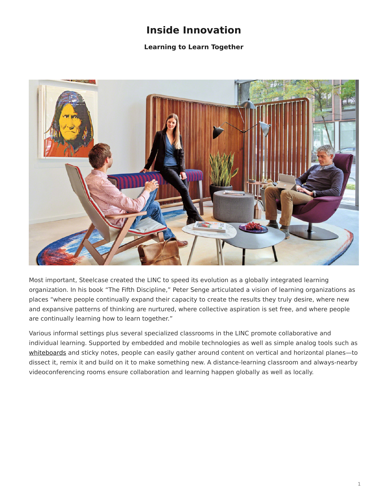## **Inside Innovation**

## **Learning to Learn Together**

<span id="page-0-0"></span>

Most important, Steelcase created the LINC to speed its evolution as a globally integrated learning organization. In his book "The Fifth Discipline," Peter Senge articulated a vision of learning organizations as places "where people continually expand their capacity to create the results they truly desire, where new and expansive patterns of thinking are nurtured, where collective aspiration is set free, and where people are continually learning how to learn together."

Various informal settings plus several specialized classrooms in the LINC promote collaborative and individual learning. Supported by embedded and mobile technologies as well as simple analog tools such as [whiteboards](https://www.steelcase.com/products/whiteboards/) and sticky notes, people can easily gather around content on vertical and horizontal planes—to dissect it, remix it and build on it to make something new. A distance-learning classroom and always-nearby videoconferencing rooms ensure collaboration and learning happen globally as well as locally.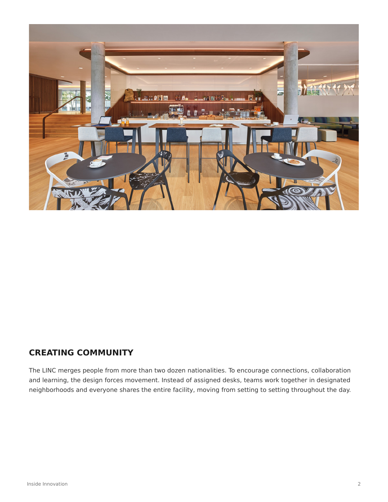

## **CREATING COMMUNITY**

The LINC merges people from more than two dozen nationalities. To encourage connections, collaboration and learning, the design forces movement. Instead of assigned desks, teams work together in designated neighborhoods and everyone shares the entire facility, moving from setting to setting throughout the day.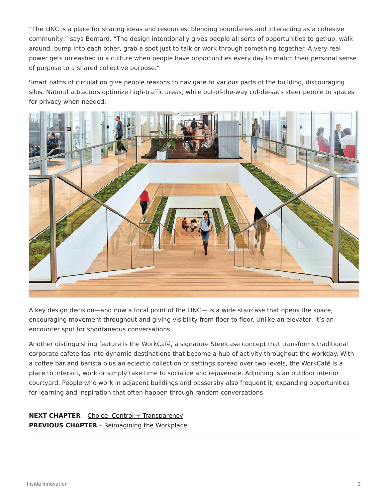"The LINC is a place for sharing ideas and resources, blending boundaries and interacting as a cohesive community," says Bernard. "The design intentionally gives people all sorts of opportunities to get up, walk around, bump into each other, grab a spot just to talk or work through something together. A very real power gets unleashed in a culture when people have opportunities every day to match their personal sense of purpose to a shared collective purpose."

Smart paths of circulation give people reasons to navigate to various parts of the building, discouraging silos. Natural attractors optimize high-traffic areas, while out-of-the-way cul-de-sacs steer people to spaces for privacy when needed.



A key design decision—and now a focal point of the LINC— is a wide staircase that opens the space, encouraging movement throughout and giving visibility from floor to floor. Unlike an elevator, it's an encounter spot for spontaneous conversations.

Another distinguishing feature is the WorkCafé, a signature Steelcase concept that transforms traditional corporate cafeterias into dynamic destinations that become a hub of activity throughout the workday. With a coffee bar and barista plus an eclectic collection of settings spread over two levels, the WorkCafé is a place to interact, work or simply take time to socialize and rejuvenate. Adjoining is an outdoor interior courtyard. People who work in adjacent buildings and passersby also frequent it, expanding opportunities for learning and inspiration that often happen through random conversations.

**NEXT CHAPTER** - [Choice, Control + Transparency](https://www.steelcase.com/research/articles/inside-innovation-choice-control-transparency/) **PREVIOUS CHAPTER** – [Reimagining the Workplace](https://www.steelcase.com/research/articles/inside-innovation-reimagining-workplace/)